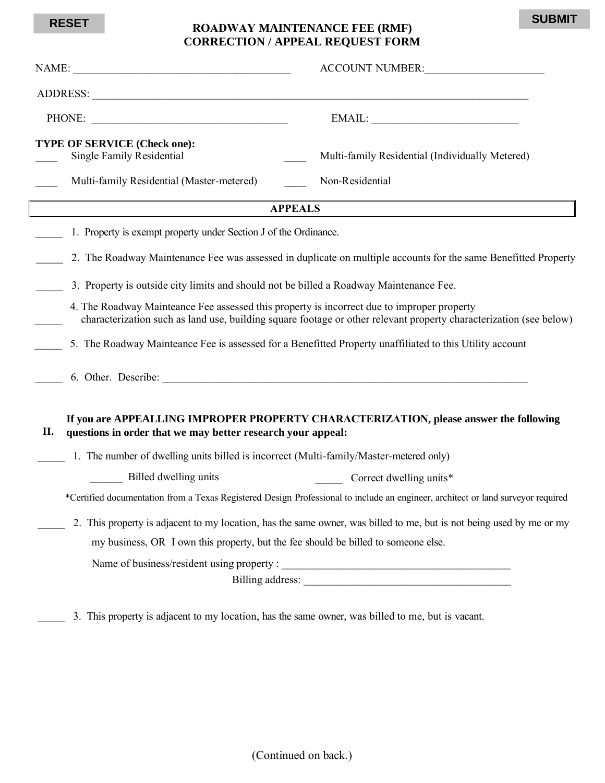## **ROADWAY MAINTENANCE FEE (RMF) RESET SUBMITCORRECTION / APPEAL REQUEST FORM**

|                                                                                            | ACCOUNT NUMBER:                                                                                                                  |  |  |  |  |  |
|--------------------------------------------------------------------------------------------|----------------------------------------------------------------------------------------------------------------------------------|--|--|--|--|--|
|                                                                                            |                                                                                                                                  |  |  |  |  |  |
| PHONE:                                                                                     | EMAIL:                                                                                                                           |  |  |  |  |  |
| TYPE OF SERVICE (Check one):<br><b>Single Family Residential</b>                           | Multi-family Residential (Individually Metered)                                                                                  |  |  |  |  |  |
| Multi-family Residential (Master-metered)                                                  | Non-Residential                                                                                                                  |  |  |  |  |  |
|                                                                                            | <b>APPEALS</b>                                                                                                                   |  |  |  |  |  |
| 1. Property is exempt property under Section J of the Ordinance.                           |                                                                                                                                  |  |  |  |  |  |
|                                                                                            | 2. The Roadway Maintenance Fee was assessed in duplicate on multiple accounts for the same Benefitted Property                   |  |  |  |  |  |
| 3. Property is outside city limits and should not be billed a Roadway Maintenance Fee.     |                                                                                                                                  |  |  |  |  |  |
| 4. The Roadway Mainteance Fee assessed this property is incorrect due to improper property | characterization such as land use, building square footage or other relevant property characterization (see below)               |  |  |  |  |  |
|                                                                                            | 5. The Roadway Mainteance Fee is assessed for a Benefitted Property unaffiliated to this Utility account                         |  |  |  |  |  |
|                                                                                            |                                                                                                                                  |  |  |  |  |  |
| questions in order that we may better research your appeal:<br>П.                          | If you are APPEALLING IMPROPER PROPERTY CHARACTERIZATION, please answer the following                                            |  |  |  |  |  |
|                                                                                            | 1. The number of dwelling units billed is incorrect (Multi-family/Master-metered only)                                           |  |  |  |  |  |
| Billed dwelling units                                                                      | Correct dwelling units*                                                                                                          |  |  |  |  |  |
|                                                                                            | *Certified documentation from a Texas Registered Design Professional to include an engineer, architect or land surveyor required |  |  |  |  |  |
|                                                                                            | 2. This property is adjacent to my location, has the same owner, was billed to me, but is not being used by me or my             |  |  |  |  |  |
| my business, OR I own this property, but the fee should be billed to someone else.         |                                                                                                                                  |  |  |  |  |  |
|                                                                                            |                                                                                                                                  |  |  |  |  |  |
|                                                                                            |                                                                                                                                  |  |  |  |  |  |
|                                                                                            |                                                                                                                                  |  |  |  |  |  |

\_\_\_\_\_ 3. This property is adjacent to my location, has the same owner, was billed to me, but is vacant.